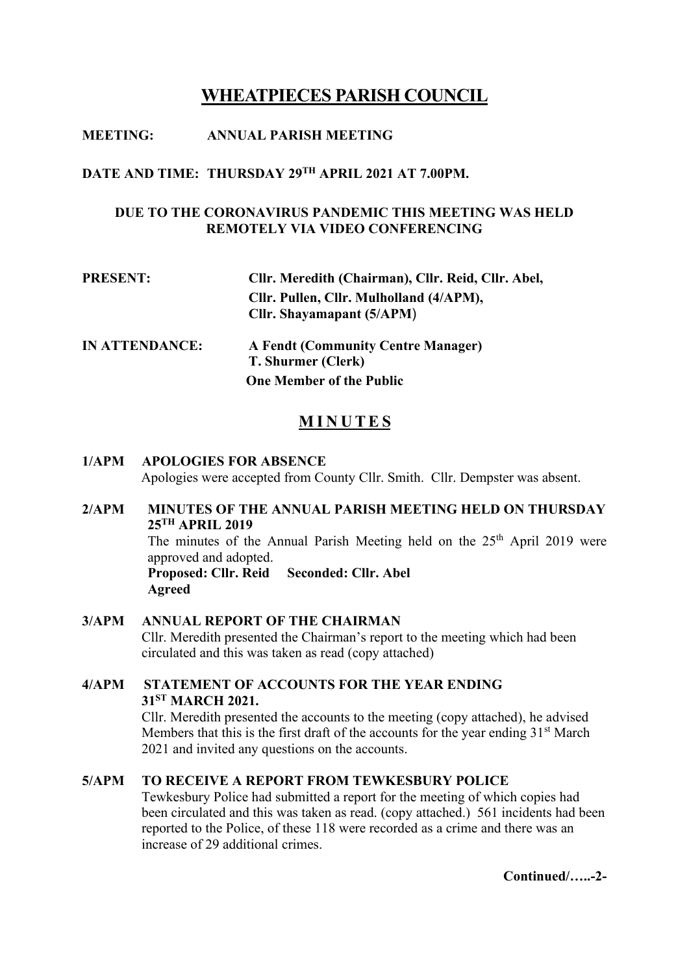# **WHEATPIECES PARISH COUNCIL**

# **MEETING: ANNUAL PARISH MEETING**

### **DATE AND TIME: THURSDAY 29 TH APRIL 2021 AT 7.00PM.**

# **DUE TO THE CORONAVIRUS PANDEMIC THIS MEETING WAS HELD REMOTELY VIA VIDEO CONFERENCING**

| <b>PRESENT:</b>       | Cllr. Meredith (Chairman), Cllr. Reid, Cllr. Abel,                   |
|-----------------------|----------------------------------------------------------------------|
|                       | Cllr. Pullen, Cllr. Mulholland (4/APM),<br>Cllr. Shayamapant (5/APM) |
| <b>IN ATTENDANCE:</b> | <b>A Fendt (Community Centre Manager)</b><br>T. Shurmer (Clerk)      |
|                       | <b>One Member of the Public</b>                                      |

# **M I N U T E S**

# **1/APM APOLOGIES FOR ABSENCE** Apologies were accepted from County Cllr. Smith. Cllr. Dempster was absent.

## **2/APM MINUTES OF THE ANNUAL PARISH MEETING HELD ON THURSDAY 25 TH APRIL 2019** The minutes of the Annual Parish Meeting held on the  $25<sup>th</sup>$  April 2019 were approved and adopted.

**Proposed: Cllr. Reid Seconded: Cllr. Abel Agreed**

**3/APM ANNUAL REPORT OF THE CHAIRMAN** Cllr. Meredith presented the Chairman's report to the meeting which had been circulated and this was taken as read (copy attached)

# **4/APM STATEMENT OF ACCOUNTS FOR THE YEAR ENDING 31ST MARCH 2021.**

 Cllr. Meredith presented the accounts to the meeting (copy attached), he advised Members that this is the first draft of the accounts for the year ending  $31<sup>st</sup>$  March 2021 and invited any questions on the accounts.

# **5/APM TO RECEIVE A REPORT FROM TEWKESBURY POLICE**

Tewkesbury Police had submitted a report for the meeting of which copies had been circulated and this was taken as read. (copy attached.) 561 incidents had been reported to the Police, of these 118 were recorded as a crime and there was an increase of 29 additional crimes.

**Continued/…..-2-**